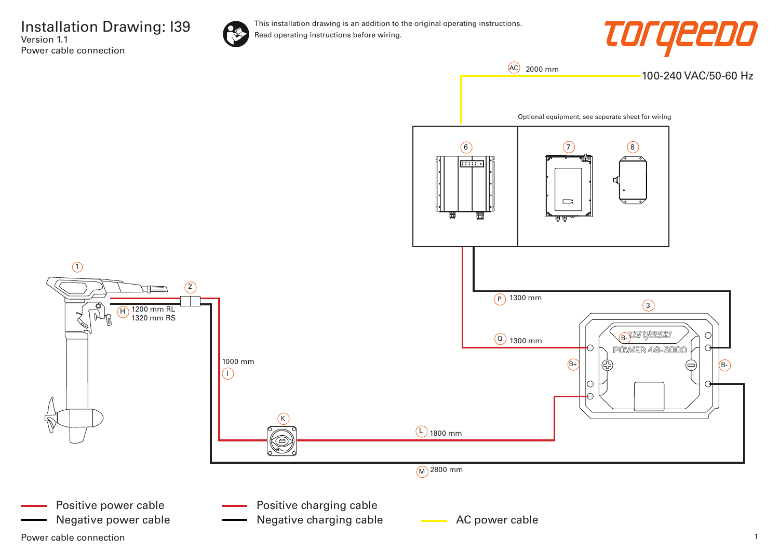Installation Drawing: I39 Version 1.1 Power cable connection



This installation drawing is an addition to the original operating instructions. Read operating instructions before wiring.



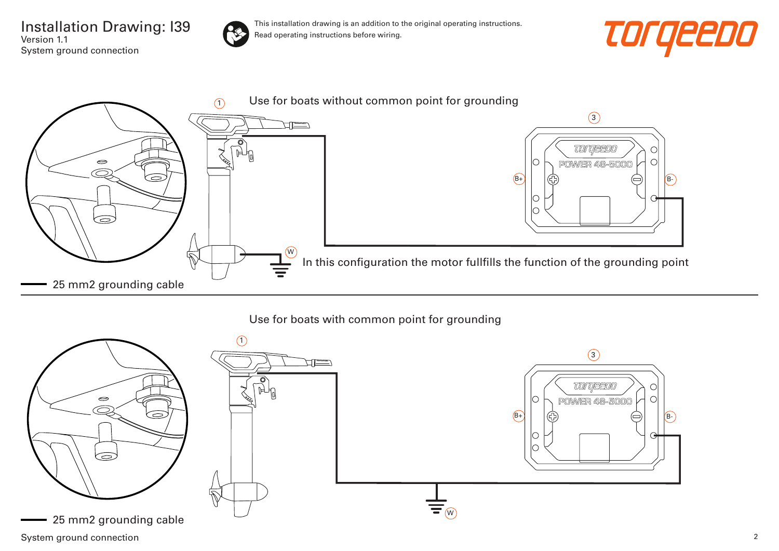Installation Drawing: I39 Version 1.1 System ground connection



This installation drawing is an addition to the original operating instructions. Read operating instructions before wiring.





## Use for boats with common point for grounding



System ground connection 2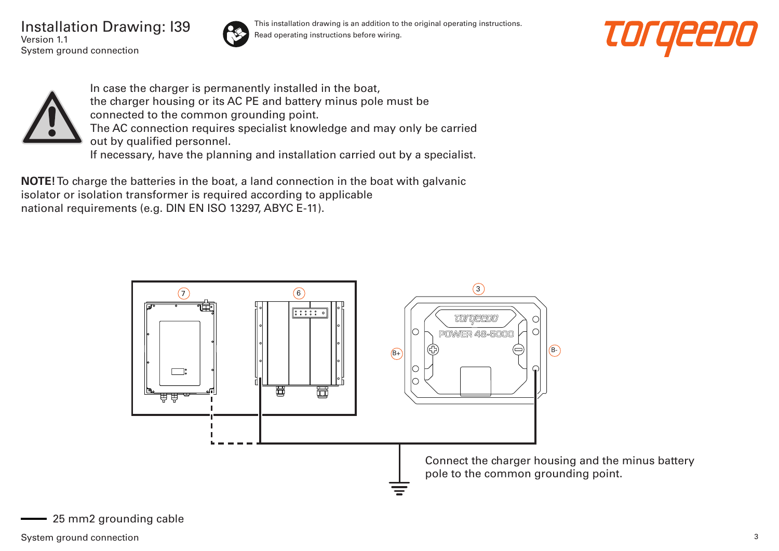Installation Drawing: I39 Version 1.1 System ground connection



This installation drawing is an addition to the original operating instructions. Read operating instructions before wiring.





In case the charger is permanently installed in the boat, the charger housing or its AC PE and battery minus pole must be connected to the common grounding point. The AC connection requires specialist knowledge and may only be carried out by qualified personnel. If necessary, have the planning and installation carried out by a specialist.

**NOTE!** To charge the batteries in the boat, a land connection in the boat with galvanic isolator or isolation transformer is required according to applicable national requirements (e.g. DIN EN ISO 13297, ABYC E-11).

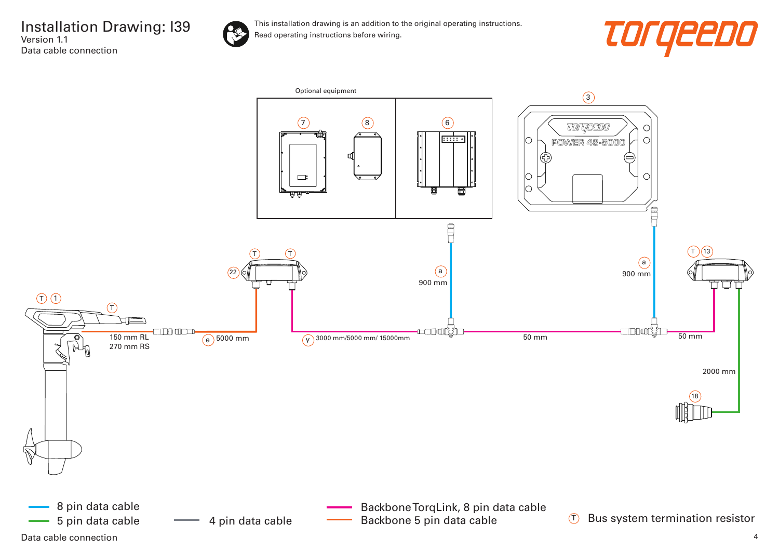

This installation drawing is an addition to the original operating instructions. Read operating instructions before wiring.



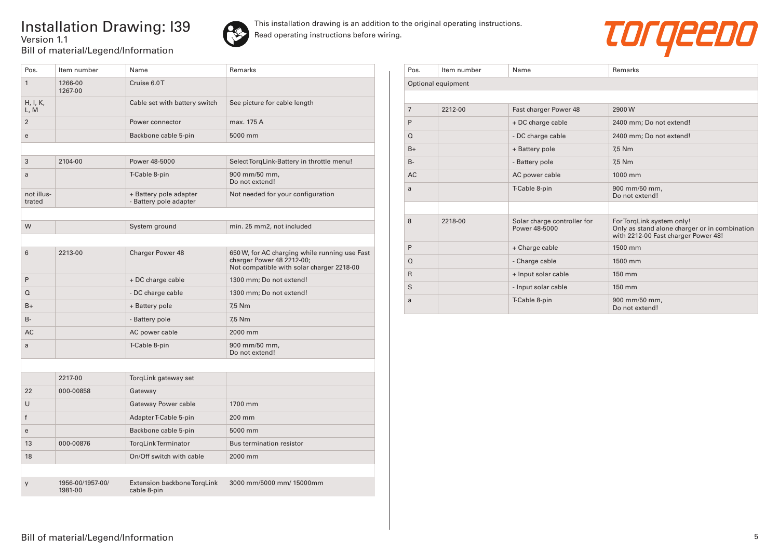## Installation Drawing: I39 Version 1.1 Bill of material/Legend/Information



This installation drawing is an addition to the original operating instructions. Read operating instructions before wiring.



| Pos.                 | Item number        | Name                                             | Remarks                                                                                                                 |
|----------------------|--------------------|--------------------------------------------------|-------------------------------------------------------------------------------------------------------------------------|
| $\mathbf{1}$         | 1266-00<br>1267-00 | Cruise 6.0T                                      |                                                                                                                         |
| H, I, K,<br>L, M     |                    | Cable set with battery switch                    | See picture for cable length                                                                                            |
| $\overline{2}$       |                    | Power connector                                  | max. 175 A                                                                                                              |
| e                    |                    | Backbone cable 5-pin                             | 5000 mm                                                                                                                 |
|                      |                    |                                                  |                                                                                                                         |
| 3                    | 2104-00            | Power 48-5000                                    | Select TorqLink-Battery in throttle menu!                                                                               |
| a                    |                    | T-Cable 8-pin                                    | 900 mm/50 mm,<br>Do not extend!                                                                                         |
| not illus-<br>trated |                    | + Battery pole adapter<br>- Battery pole adapter | Not needed for your configuration                                                                                       |
|                      |                    |                                                  |                                                                                                                         |
| W                    |                    | System ground                                    | min. 25 mm2, not included                                                                                               |
|                      |                    |                                                  |                                                                                                                         |
| 6                    | 2213-00            | Charger Power 48                                 | 650 W, for AC charging while running use Fast<br>charger Power 48 2212-00;<br>Not compatible with solar charger 2218-00 |
| P                    |                    | + DC charge cable                                | 1300 mm; Do not extend!                                                                                                 |
| Q                    |                    | - DC charge cable                                | 1300 mm; Do not extend!                                                                                                 |
| $B+$                 |                    | + Battery pole                                   | 7.5 Nm                                                                                                                  |
| $B -$                |                    | - Battery pole                                   | 7,5 Nm                                                                                                                  |
| <b>AC</b>            |                    | AC power cable                                   | 2000 mm                                                                                                                 |
| a                    |                    | T-Cable 8-pin                                    | 900 mm/50 mm,<br>Do not extend!                                                                                         |
|                      |                    |                                                  |                                                                                                                         |
|                      | 2217-00            | TorgLink gateway set                             |                                                                                                                         |
| 22                   | 000-00858          | Gateway                                          |                                                                                                                         |

| 22           | 000-00858                   | Gateway                                    |                          |
|--------------|-----------------------------|--------------------------------------------|--------------------------|
| $\cup$       |                             | Gateway Power cable                        | 1700 mm                  |
| f            |                             | Adapter T-Cable 5-pin                      | $200 \text{ mm}$         |
| $\mathbf{e}$ |                             | Backbone cable 5-pin                       | 5000 mm                  |
| 13           | 000-00876                   | <b>TorgLink Terminator</b>                 | Bus termination resistor |
| 18           |                             | On/Off switch with cable                   | 2000 mm                  |
|              |                             |                                            |                          |
| y            | 1956-00/1957-00/<br>1981-00 | Extension backbone TorgLink<br>cable 8-pin | 3000 mm/5000 mm/ 15000mm |

| Pos.           | Item number        | Name                                         | Remarks                                                                                                           |
|----------------|--------------------|----------------------------------------------|-------------------------------------------------------------------------------------------------------------------|
|                | Optional equipment |                                              |                                                                                                                   |
|                |                    |                                              |                                                                                                                   |
| $\overline{7}$ | 2212-00            | Fast charger Power 48                        | 2900W                                                                                                             |
| P              |                    | + DC charge cable                            | 2400 mm; Do not extend!                                                                                           |
| $\Omega$       |                    | - DC charge cable                            | 2400 mm; Do not extend!                                                                                           |
| $B+$           |                    | + Battery pole                               | 7,5 Nm                                                                                                            |
| $B -$          |                    | - Battery pole                               | 7,5 Nm                                                                                                            |
| <b>AC</b>      |                    | AC power cable                               | 1000 mm                                                                                                           |
| a              |                    | T-Cable 8-pin                                | 900 mm/50 mm,<br>Do not extend!                                                                                   |
|                |                    |                                              |                                                                                                                   |
| 8              | 2218-00            | Solar charge controller for<br>Power 48-5000 | For TorqLink system only!<br>Only as stand alone charger or in combination<br>with 2212-00 Fast charger Power 48! |
| P              |                    | + Charge cable                               | 1500 mm                                                                                                           |
| $\Omega$       |                    | - Charge cable                               | 1500 mm                                                                                                           |
| $\mathsf{R}$   |                    | + Input solar cable                          | 150 mm                                                                                                            |
| S              |                    | - Input solar cable                          | 150 mm                                                                                                            |
| a              |                    | T-Cable 8-pin                                | 900 mm/50 mm,<br>Do not extend!                                                                                   |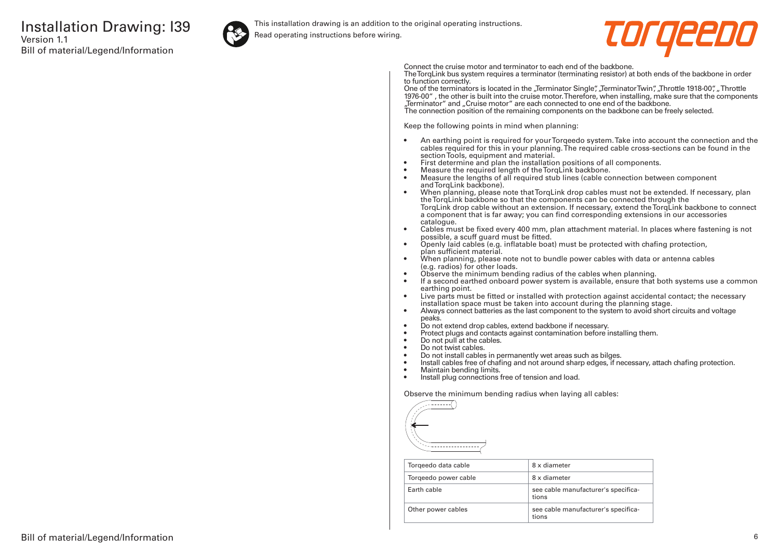

This installation drawing is an addition to the original operating instructions.

Read operating instructions before wiring.



Connect the cruise motor and terminator to each end of the backbone.

The TorqLink bus system requires a terminator (terminating resistor) at both ends of the backbone in order to function correctly.

One of the terminators is located in the "Terminator Single", "Terminator Twin", "Throttle 1918-00", "Throttle 1976-00" , the other is built into the cruise motor. Therefore, when installing, make sure that the components "Terminator" and "Cruise motor" are each connected to one end of the backbone. The connection position of the remaining components on the backbone can be freely selected.

Keep the following points in mind when planning:

- An earthing point is required for your Torqeedo system. Take into account the connection and the cables required for this in your planning. The required cable cross-sections can be found in the section Tools, equipment and material.
- First determine and plan the installation positions of all components.
- Measure the required length of the TorqLink backbone.<br>• Measure the lengths of all required stub lines (cable co
- Measure the lengths of all required stub lines (cable connection between component and TorqLink backbone).
- When planning, please note that TorqLink drop cables must not be extended. If necessary, plan the TorqLink backbone so that the components can be connected through the TorqLink drop cable without an extension. If necessary, extend the TorqLink backbone to connect a component that is far away; you can find corresponding extensions in our accessories catalogue.
- Cables must be fixed every 400 mm, plan attachment material. In places where fastening is not possible, a scuff guard must be fitted.
- Openly laid cables (e.g. inflatable boat) must be protected with chafing protection, plan sufficient material.
- When planning, please note not to bundle power cables with data or antenna cables (e.g. radios) for other loads.
- Observe the minimum bending radius of the cables when planning.
- If a second earthed onboard power system is available, ensure that both systems use a common earthing point.
- Live parts must be fitted or installed with protection against accidental contact; the necessary installation space must be taken into account during the planning stage.
- Always connect batteries as the last component to the system to avoid short circuits and voltage peaks.
- Do not extend drop cables, extend backbone if necessary.
- Protect plugs and contacts against contamination before installing them.
- Do not pull at the cables.
- Do not twist cables.
- Do not install cables in permanently wet areas such as bilges.
- Install cables free of chafing and not around sharp edges, if necessary, attach chafing protection.<br>• Maintain bending limits
- Maintain bending limits.
- Install plug connections free of tension and load.

Observe the minimum bending radius when laying all cables:



| Torgeedo data cable  | 8 x diameter                                 |
|----------------------|----------------------------------------------|
| Torgeedo power cable | 8 x diameter                                 |
| Farth cable          | see cable manufacturer's specifica-<br>tions |
| Other power cables   | see cable manufacturer's specifica-<br>tions |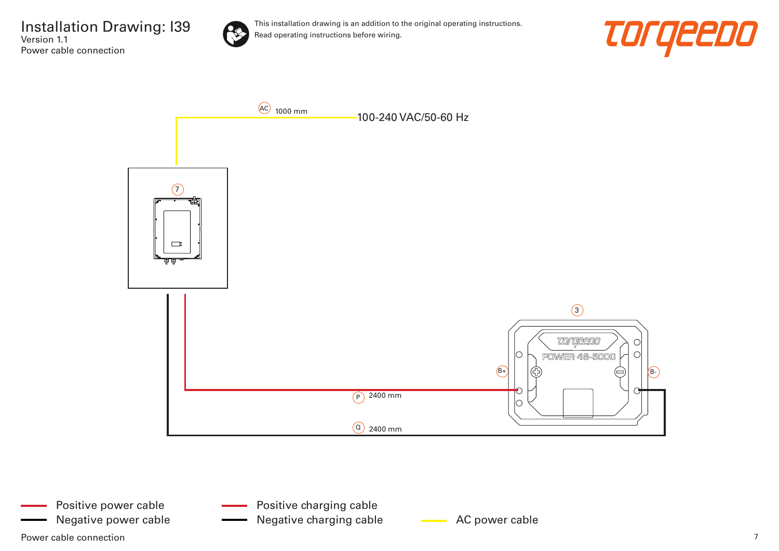Installation Drawing: I39 Version 1.1 Power cable connection



This installation drawing is an addition to the original operating instructions. Read operating instructions before wiring.





Power cable connection  $\overline{7}$